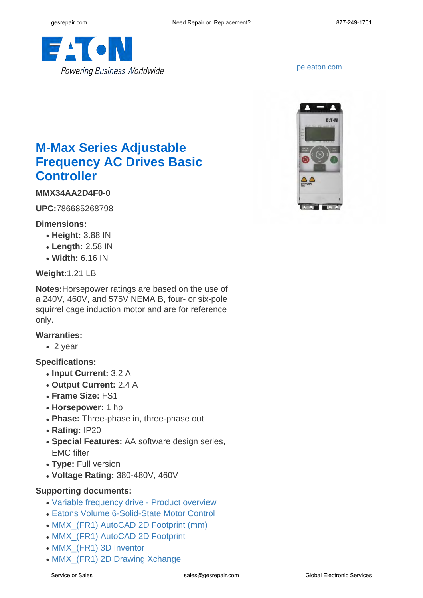

<pe.eaton.com>



# **M-Max Series Adjustable Frequency AC Drives Basic Controller**

## **MMX34AA2D4F0-0**

**UPC:**786685268798

#### **Dimensions:**

- **Height:** 3.88 IN
- **Length:** 2.58 IN
- **Width:** 6.16 IN

#### **Weight:**1.21 LB

**Notes:**Horsepower ratings are based on the use of a 240V, 460V, and 575V NEMA B, four- or six-pole squirrel cage induction motor and are for reference only.

#### **Warranties:**

 $\cdot$  2 year

#### **Specifications:**

- **Input Current:** 3.2 A
- **Output Current:** 2.4 A
- **Frame Size:** FS1
- **Horsepower:** 1 hp
- Phase: Three-phase in, three-phase out
- **Rating:** IP20
- **Special Features:** AA software design series, EMC filter
- **Type:** Full version
- **Voltage Rating:** 380-480V, 460V

### **Supporting documents:**

- [Variable frequency drive Product overview](http://www.eaton.com/ecm/idcplg?IdcService=GET_FILE&allowInterrupt=1&RevisionSelectionMethod=LatestReleased&noSaveAs=0&Rendition=Primary&dDocName=BR040002EN)
- [Eatons Volume 6-Solid-State Motor Control](http://www.eaton.com/ecm/idcplg?IdcService=GET_FILE&allowInterrupt=1&RevisionSelectionMethod=LatestReleased&Rendition=Primary&dDocName=CA08100007E)
- MMX (FR1) AutoCAD 2D Footprint (mm)
- MMX (FR1) AutoCAD 2D Footprint
- MMX (FR1) 3D Inventor
- MMX (FR1) 2D Drawing Xchange